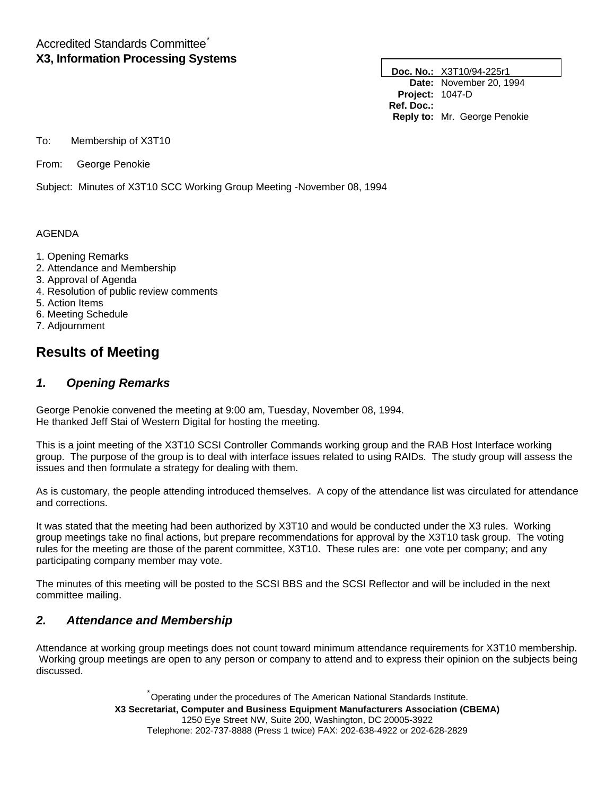# Accredited Standards Committee\* **X3, Information Processing Systems**

**Doc. No.:** X3T10/94-225r1 **Date:** November 20, 1994 **Project:** 1047-D **Ref. Doc.: Reply to:** Mr. George Penokie

To: Membership of X3T10

From: George Penokie

Subject: Minutes of X3T10 SCC Working Group Meeting -November 08, 1994

#### AGENDA

- 1. Opening Remarks
- 2. Attendance and Membership
- 3. Approval of Agenda
- 4. Resolution of public review comments
- 5. Action Items
- 6. Meeting Schedule
- 7. Adjournment

# **Results of Meeting**

## *1. Opening Remarks*

George Penokie convened the meeting at 9:00 am, Tuesday, November 08, 1994. He thanked Jeff Stai of Western Digital for hosting the meeting.

This is a joint meeting of the X3T10 SCSI Controller Commands working group and the RAB Host Interface working group. The purpose of the group is to deal with interface issues related to using RAIDs. The study group will assess the issues and then formulate a strategy for dealing with them.

As is customary, the people attending introduced themselves. A copy of the attendance list was circulated for attendance and corrections.

It was stated that the meeting had been authorized by X3T10 and would be conducted under the X3 rules. Working group meetings take no final actions, but prepare recommendations for approval by the X3T10 task group. The voting rules for the meeting are those of the parent committee, X3T10. These rules are: one vote per company; and any participating company member may vote.

The minutes of this meeting will be posted to the SCSI BBS and the SCSI Reflector and will be included in the next committee mailing.

## *2. Attendance and Membership*

Attendance at working group meetings does not count toward minimum attendance requirements for X3T10 membership. Working group meetings are open to any person or company to attend and to express their opinion on the subjects being discussed.

> \*Operating under the procedures of The American National Standards Institute. **X3 Secretariat, Computer and Business Equipment Manufacturers Association (CBEMA)** 1250 Eye Street NW, Suite 200, Washington, DC 20005-3922 Telephone: 202-737-8888 (Press 1 twice) FAX: 202-638-4922 or 202-628-2829